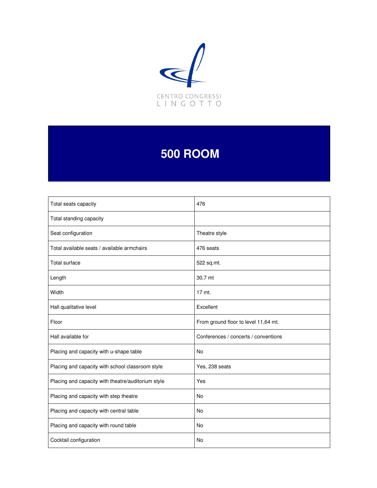

# **500 ROOM**

| Total seats capacity                               | 476                                  |
|----------------------------------------------------|--------------------------------------|
| Total standing capacity                            |                                      |
| Seat configuration                                 | Theatre style                        |
| Total available seats / available armchairs        | 476 seats                            |
| <b>Total surface</b>                               | 522 sq.mt.                           |
| Length                                             | 30,7 mt                              |
| Width                                              | 17 mt.                               |
| Hall qualitative level                             | Excellent                            |
| Floor                                              | From ground floor to level 11,64 mt. |
| Hall available for                                 | Conferences / concerts / conventions |
| Placing and capacity with u-shape table            | <b>No</b>                            |
| Placing and capacity with school classroom style   | Yes, 238 seats                       |
| Placing and capacity with theatre/auditorium style | Yes                                  |
| Placing and capacity with step theatre             | No                                   |
| Placing and capacity with central table            | <b>No</b>                            |
| Placing and capacity with round table              | No                                   |
| Cocktail configuration                             | <b>No</b>                            |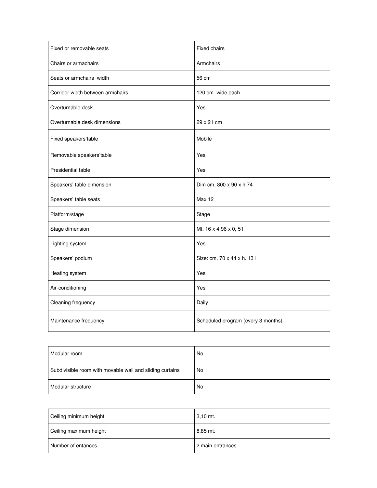| Fixed or removable seats         | Fixed chairs                       |
|----------------------------------|------------------------------------|
| Chairs or armachairs             | Armchairs                          |
| Seats or armchairs width         | 56 cm                              |
| Corridor width between armchairs | 120 cm. wide each                  |
| Overturnable desk                | Yes                                |
| Overturnable desk dimensions     | 29 x 21 cm                         |
| Fixed speakers'table             | Mobile                             |
| Removable speakers'table         | Yes                                |
| Presidential table               | Yes                                |
| Speakers' table dimension        | Dim cm. 800 x 90 x h.74            |
| Speakers' table seats            | <b>Max 12</b>                      |
| Platform/stage                   | Stage                              |
| Stage dimension                  | Mt. 16 x 4,96 x 0, 51              |
| Lighting system                  | Yes                                |
| Speakers' podium                 | Size: cm. 70 x 44 x h. 131         |
| Heating system                   | Yes                                |
| Air-conditioning                 | Yes                                |
| Cleaning frequency               | Daily                              |
| Maintenance frequency            | Scheduled program (every 3 months) |

| Modular room                                             | No |
|----------------------------------------------------------|----|
| Subdivisible room with movable wall and sliding curtains | No |
| Modular structure                                        | No |

| Ceiling minimum height | $3.10$ mt.       |
|------------------------|------------------|
| Ceiling maximum height | 8.85 mt.         |
| Number of entances     | 2 main entrances |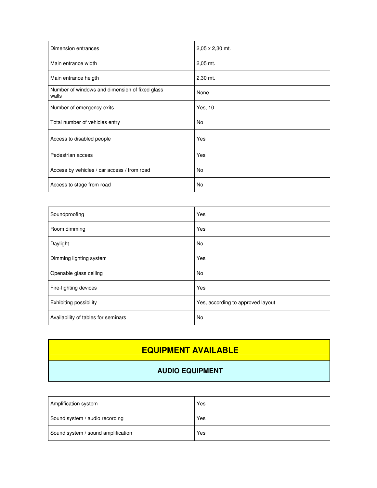| Dimension entrances                                     | 2,05 x 2,30 mt. |
|---------------------------------------------------------|-----------------|
| Main entrance width                                     | $2,05$ mt.      |
| Main entrance heigth                                    | 2,30 mt.        |
| Number of windows and dimension of fixed glass<br>walls | None            |
| Number of emergency exits                               | Yes, 10         |
| Total number of vehicles entry                          | No              |
| Access to disabled people                               | Yes             |
| Pedestrian access                                       | Yes             |
| Access by vehicles / car access / from road             | No.             |
| Access to stage from road                               | No              |

| Soundproofing                       | Yes                               |
|-------------------------------------|-----------------------------------|
| Room dimming                        | Yes                               |
| Daylight                            | No.                               |
| Dimming lighting system             | Yes                               |
| Openable glass ceiling              | <b>No</b>                         |
| Fire-fighting devices               | Yes                               |
| Exhibiting possibility              | Yes, according to approved layout |
| Availability of tables for seminars | <b>No</b>                         |

# **EQUIPMENT AVAILABLE**

## **AUDIO EQUIPMENT**

| Amplification system               | Yes |
|------------------------------------|-----|
| Sound system / audio recording     | Yes |
| Sound system / sound amplification | Yes |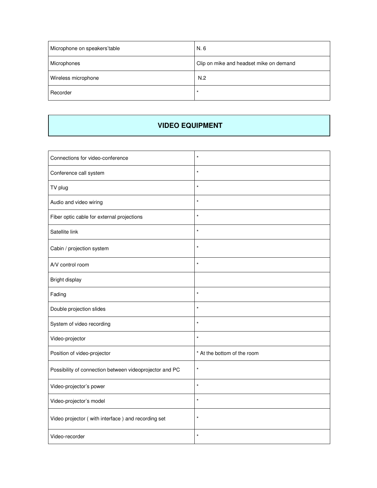| Microphone on speakers'table | N. 6                                    |
|------------------------------|-----------------------------------------|
| Microphones                  | Clip on mike and headset mike on demand |
| Wireless microphone          | N.2                                     |
| Recorder                     | $\star$                                 |

#### **VIDEO EQUIPMENT**

| Connections for video-conference                        | $\star$                     |
|---------------------------------------------------------|-----------------------------|
| Conference call system                                  | $\star$                     |
| TV plug                                                 | $\star$                     |
| Audio and video wiring                                  | $\star$                     |
| Fiber optic cable for external projections              | $\star$                     |
| Satellite link                                          | $\star$                     |
| Cabin / projection system                               | $\star$                     |
| A/V control room                                        | $\star$                     |
| Bright display                                          |                             |
| Fading                                                  | $\star$                     |
| Double projection slides                                | $\star$                     |
| System of video recording                               | $\star$                     |
| Video-projector                                         | $\star$                     |
| Position of video-projector                             | * At the bottom of the room |
| Possibility of connection between videoprojector and PC | $\star$                     |
| Video-projector's power                                 | $\star$                     |
| Video-projector's model                                 | $\star$                     |
| Video projector (with interface) and recording set      | $\star$                     |
| Video-recorder                                          | $\star$                     |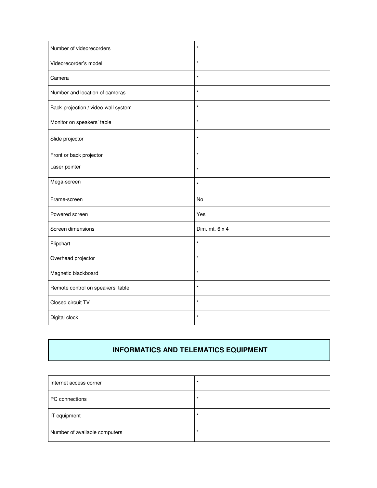| Number of videorecorders            | $\star$        |
|-------------------------------------|----------------|
| Videorecorder's model               | $\star$        |
| Camera                              | $\star$        |
| Number and location of cameras      | $\star$        |
| Back-projection / video-wall system | $\star$        |
| Monitor on speakers' table          | $\star$        |
| Slide projector                     | $\star$        |
| Front or back projector             | $\star$        |
| Laser pointer                       | $\star$        |
| Mega-screen                         | $\star$        |
| Frame-screen                        | <b>No</b>      |
| Powered screen                      | Yes            |
| Screen dimensions                   | Dim. mt. 6 x 4 |
| Flipchart                           | $\star$        |
| Overhead projector                  | $\star$        |
| Magnetic blackboard                 | $\star$        |
| Remote control on speakers' table   | $\star$        |
| Closed circuit TV                   | $\star$        |
| Digital clock                       | $\star$        |

## **INFORMATICS AND TELEMATICS EQUIPMENT**

| Internet access corner        | $\star$ |
|-------------------------------|---------|
| PC connections                | $\star$ |
| IT equipment                  | *       |
| Number of available computers | $\star$ |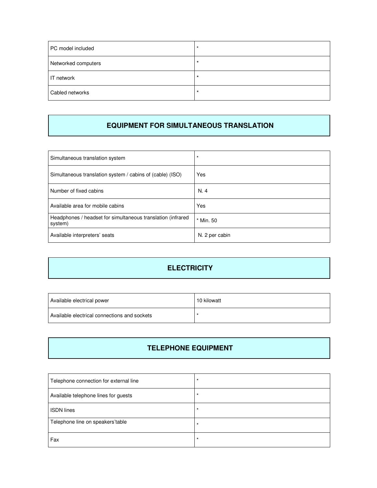| PC model included   | $\star$ |
|---------------------|---------|
| Networked computers | $\star$ |
| IT network          | $\star$ |
| Cabled networks     |         |

#### **EQUIPMENT FOR SIMULTANEOUS TRANSLATION**

| Simultaneous translation system                                        | $\star$        |
|------------------------------------------------------------------------|----------------|
| Simultaneous translation system / cabins of (cable) (ISO)              | Yes            |
| Number of fixed cabins                                                 | N.4            |
| Available area for mobile cabins                                       | Yes            |
| Headphones / headset for simultaneous translation (infrared<br>system) | * Min. 50      |
| Available interpreters' seats                                          | N. 2 per cabin |

## **ELECTRICITY**

| Available electrical power                   | 10 kilowatt |
|----------------------------------------------|-------------|
| Available electrical connections and sockets |             |

## **TELEPHONE EQUIPMENT**

| Telephone connection for external line | $\star$ |
|----------------------------------------|---------|
| Available telephone lines for guests   | $\star$ |
| <b>ISDN</b> lines                      | $\star$ |
| Telephone line on speakers'table       | $\star$ |
| Fax                                    | $\star$ |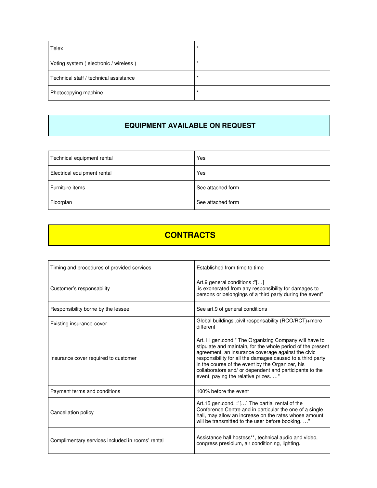| Telex                                  |  |
|----------------------------------------|--|
| Voting system (electronic / wireless)  |  |
| Technical staff / technical assistance |  |
| Photocopying machine                   |  |

#### **EQUIPMENT AVAILABLE ON REQUEST**

| Technical equipment rental  | Yes               |
|-----------------------------|-------------------|
| Electrical equipment rental | Yes               |
| Furniture items             | See attached form |
| Floorplan                   | See attached form |

# **CONTRACTS**

| Timing and procedures of provided services       | Established from time to time                                                                                                                                                                                                                                                                                                                                                                   |
|--------------------------------------------------|-------------------------------------------------------------------------------------------------------------------------------------------------------------------------------------------------------------------------------------------------------------------------------------------------------------------------------------------------------------------------------------------------|
| Customer's responsability                        | Art.9 general conditions :"[]<br>is exonerated from any responsibility for damages to<br>persons or belongings of a third party during the event"                                                                                                                                                                                                                                               |
| Responsibility borne by the lessee               | See art.9 of general conditions                                                                                                                                                                                                                                                                                                                                                                 |
| Existing insurance-cover                         | Global buildings, civil responsability (RCO/RCT)+more<br>different                                                                                                                                                                                                                                                                                                                              |
| Insurance cover required to customer             | Art.11 gen.cond:" The Organizing Company will have to<br>stipulate and maintain, for the whole period of the present<br>agreement, an insurance coverage against the civic<br>responsibility for all the damages caused to a third party<br>in the course of the event by the Organizer, his<br>collaborators and/ or dependent and participants to the<br>event, paying the relative prizes. ' |
| Payment terms and conditions                     | 100% before the event                                                                                                                                                                                                                                                                                                                                                                           |
| Cancellation policy                              | Art.15 gen.cond. :"[] The partial rental of the<br>Conference Centre and in particular the one of a single<br>hall, may allow an increase on the rates whose amount<br>will be transmitted to the user before booking"                                                                                                                                                                          |
| Complimentary services included in rooms' rental | Assistance hall hostess**, technical audio and video,<br>congress presidium, air conditioning, lighting.                                                                                                                                                                                                                                                                                        |